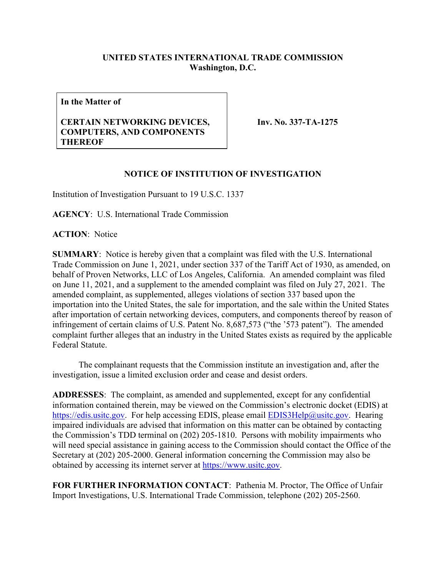## **UNITED STATES INTERNATIONAL TRADE COMMISSION Washington, D.C.**

**In the Matter of**

## **CERTAIN NETWORKING DEVICES, COMPUTERS, AND COMPONENTS THEREOF**

**Inv. No. 337-TA-1275**

## **NOTICE OF INSTITUTION OF INVESTIGATION**

Institution of Investigation Pursuant to 19 U.S.C. 1337

**AGENCY**: U.S. International Trade Commission

**ACTION**: Notice

**SUMMARY**: Notice is hereby given that a complaint was filed with the U.S. International Trade Commission on June 1, 2021, under section 337 of the Tariff Act of 1930, as amended, on behalf of Proven Networks, LLC of Los Angeles, California. An amended complaint was filed on June 11, 2021, and a supplement to the amended complaint was filed on July 27, 2021. The amended complaint, as supplemented, alleges violations of section 337 based upon the importation into the United States, the sale for importation, and the sale within the United States after importation of certain networking devices, computers, and components thereof by reason of infringement of certain claims of U.S. Patent No. 8,687,573 ("the '573 patent"). The amended complaint further alleges that an industry in the United States exists as required by the applicable Federal Statute.

The complainant requests that the Commission institute an investigation and, after the investigation, issue a limited exclusion order and cease and desist orders.

**ADDRESSES**: The complaint, as amended and supplemented, except for any confidential information contained therein, may be viewed on the Commission's electronic docket (EDIS) at [https://edis.usitc.gov.](https://edis.usitc.gov/) For help accessing EDIS, please email **EDIS3Help@usitc.gov**. Hearing impaired individuals are advised that information on this matter can be obtained by contacting the Commission's TDD terminal on (202) 205-1810. Persons with mobility impairments who will need special assistance in gaining access to the Commission should contact the Office of the Secretary at (202) 205-2000. General information concerning the Commission may also be obtained by accessing its internet server at [https://www.usitc.gov.](https://www.usitc.gov/)

**FOR FURTHER INFORMATION CONTACT**: Pathenia M. Proctor, The Office of Unfair Import Investigations, U.S. International Trade Commission, telephone (202) 205-2560.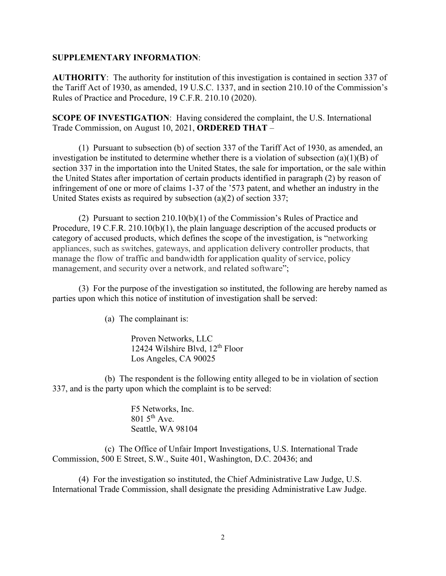## **SUPPLEMENTARY INFORMATION**:

**AUTHORITY**: The authority for institution of this investigation is contained in section 337 of the Tariff Act of 1930, as amended, 19 U.S.C. 1337, and in section 210.10 of the Commission's Rules of Practice and Procedure, 19 C.F.R. 210.10 (2020).

**SCOPE OF INVESTIGATION**: Having considered the complaint, the U.S. International Trade Commission, on August 10, 2021, **ORDERED THAT** –

(1) Pursuant to subsection (b) of section 337 of the Tariff Act of 1930, as amended, an investigation be instituted to determine whether there is a violation of subsection (a)(1)(B) of section 337 in the importation into the United States, the sale for importation, or the sale within the United States after importation of certain products identified in paragraph (2) by reason of infringement of one or more of claims 1-37 of the '573 patent, and whether an industry in the United States exists as required by subsection (a)(2) of section 337;

(2) Pursuant to section 210.10(b)(1) of the Commission's Rules of Practice and Procedure, 19 C.F.R. 210.10(b)(1), the plain language description of the accused products or category of accused products, which defines the scope of the investigation, is "networking appliances, such as switches, gateways, and application delivery controller products, that manage the flow of traffic and bandwidth for application quality of service, policy management, and security over a network, and related software";

(3) For the purpose of the investigation so instituted, the following are hereby named as parties upon which this notice of institution of investigation shall be served:

(a) The complainant is:

Proven Networks, LLC 12424 Wilshire Blvd,  $12<sup>th</sup>$  Floor Los Angeles, CA 90025

(b) The respondent is the following entity alleged to be in violation of section 337, and is the party upon which the complaint is to be served:

> F5 Networks, Inc.  $801.5$ <sup>th</sup> Ave. Seattle, WA 98104

(c) The Office of Unfair Import Investigations, U.S. International Trade Commission, 500 E Street, S.W., Suite 401, Washington, D.C. 20436; and

(4) For the investigation so instituted, the Chief Administrative Law Judge, U.S. International Trade Commission, shall designate the presiding Administrative Law Judge.